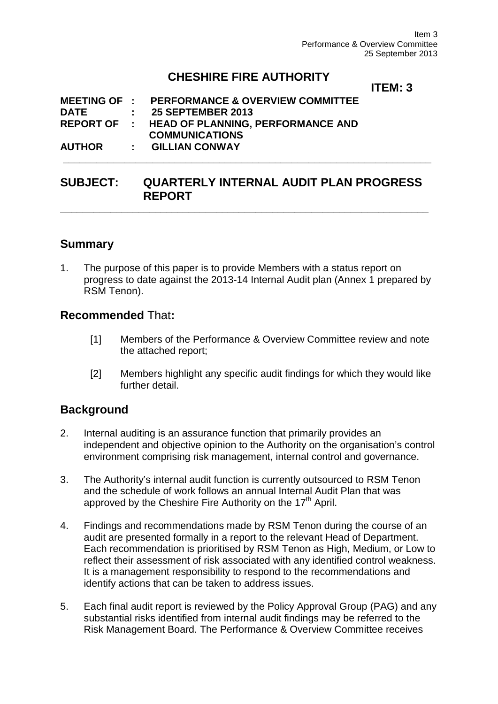Item 3 Performance & Overview Committee 25 September 2013

## **CHESHIRE FIRE AUTHORITY**

### **ITEM: 3**

|             | AUTHOR : GILLIAN CONWAY                                  |  |
|-------------|----------------------------------------------------------|--|
|             | <b>COMMUNICATIONS</b>                                    |  |
|             | REPORT OF : HEAD OF PLANNING, PERFORMANCE AND            |  |
| <b>DATE</b> | $: 25$ SEPTEMBER 2013                                    |  |
|             | <b>MEETING OF : PERFORMANCE &amp; OVERVIEW COMMITTEE</b> |  |

## **SUBJECT: QUARTERLY INTERNAL AUDIT PLAN PROGRESS REPORT**

**\_\_\_\_\_\_\_\_\_\_\_\_\_\_\_\_\_\_\_\_\_\_\_\_\_\_\_\_\_\_\_\_\_\_\_\_\_\_\_\_\_\_\_\_\_\_\_\_\_\_\_\_\_\_\_\_\_\_\_\_\_\_\_\_\_\_**

### **Summary**

1. The purpose of this paper is to provide Members with a status report on progress to date against the 2013-14 Internal Audit plan (Annex 1 prepared by RSM Tenon).

#### **Recommended** That**:**

- [1] Members of the Performance & Overview Committee review and note the attached report;
- [2] Members highlight any specific audit findings for which they would like further detail.

## **Background**

- 2. Internal auditing is an assurance function that primarily provides an independent and objective opinion to the Authority on the organisation's control environment comprising risk management, internal control and governance.
- 3. The Authority's internal audit function is currently outsourced to RSM Tenon and the schedule of work follows an annual Internal Audit Plan that was approved by the Cheshire Fire Authority on the 17<sup>th</sup> April.
- 4. Findings and recommendations made by RSM Tenon during the course of an audit are presented formally in a report to the relevant Head of Department. Each recommendation is prioritised by RSM Tenon as High, Medium, or Low to reflect their assessment of risk associated with any identified control weakness. It is a management responsibility to respond to the recommendations and identify actions that can be taken to address issues.
- 5. Each final audit report is reviewed by the Policy Approval Group (PAG) and any substantial risks identified from internal audit findings may be referred to the Risk Management Board. The Performance & Overview Committee receives